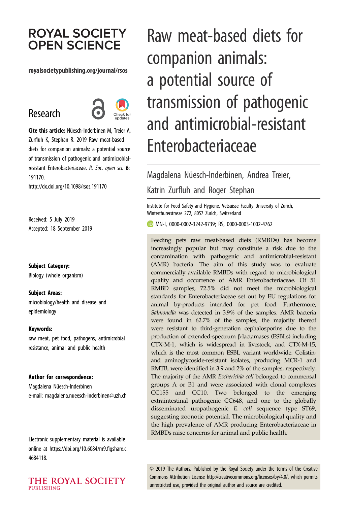# **ROYAL SOCIETY OPEN SCIENCE**

#### royalsocietypublishing.org/journal/rsos

# Research



Cite this article: Nüesch-Inderbinen M, Treier A, Zurfluh K, Stephan R. 2019 Raw meat-based diets for companion animals: a potential source of transmission of pathogenic and antimicrobialresistant Enterobacteriaceae. R. Soc. open sci. 6: 191170.

http://dx.doi.org/10.1098/rsos.191170

Received: 5 July 2019 Accepted: 18 September 2019

Subject Category: Biology (whole organism)

Subject Areas: microbiology/health and disease and epidemiology

#### Keywords:

raw meat, pet food, pathogens, antimicrobial resistance, animal and public health

#### Author for correspondence:

Magdalena Nüesch-Inderbinen e-mail: magdalena.nueesch-inderbinen@uzh.ch

Electronic supplementary material is available online at https://doi.org/10.6084/m9.figshare.c. 4684118.

#### THE ROYAL SOCIETY **PUBLISHING**

Raw meat-based diets for companion animals: a potential source of transmission of pathogenic and antimicrobial-resistant Enterobacteriaceae

# Magdalena Nüesch-Inderbinen, Andrea Treier, Katrin Zurfluh and Roger Stephan

Institute for Food Safety and Hygiene, Vetsuisse Faculty University of Zurich, Winterthurerstrasse 272, 8057 Zurich, Switzerland

MN-I, 0000-0002-3242-9739; RS, 0000-0003-1002-4762

Feeding pets raw meat-based diets (RMBDs) has become increasingly popular but may constitute a risk due to the contamination with pathogenic and antimicrobial-resistant (AMR) bacteria. The aim of this study was to evaluate commercially available RMBDs with regard to microbiological quality and occurrence of AMR Enterobacteriaceae. Of 51 RMBD samples, 72.5% did not meet the microbiological standards for Enterobacteriaceae set out by EU regulations for animal by-products intended for pet food. Furthermore, Salmonella was detected in 3.9% of the samples. AMR bacteria were found in 62.7% of the samples, the majority thereof were resistant to third-generation cephalosporins due to the production of extended-spectrum β-lactamases (ESBLs) including CTX-M-1, which is widespread in livestock, and CTX-M-15, which is the most common ESBL variant worldwide. Colistinand aminoglycoside-resistant isolates, producing MCR-1 and RMTB, were identified in 3.9 and 2% of the samples, respectively. The majority of the AMR Escherichia coli belonged to commensal groups A or B1 and were associated with clonal complexes CC155 and CC10. Two belonged to the emerging extraintestinal pathogenic CC648, and one to the globally disseminated uropathogenic E. coli sequence type ST69, suggesting zoonotic potential. The microbiological quality and the high prevalence of AMR producing Enterobacteriaceae in RMBDs raise concerns for animal and public health.

© 2019 The Authors. Published by the Royal Society under the terms of the Creative Commons Attribution License http://creativecommons.org/licenses/by/4.0/, which permits unrestricted use, provided the original author and source are credited.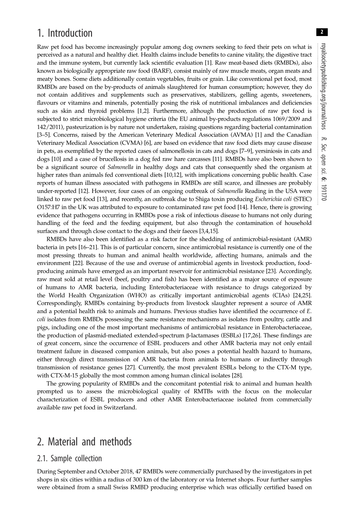## 1. Introduction

Raw pet food has become increasingly popular among dog owners seeking to feed their pets on what is perceived as a natural and healthy diet. Health claims include benefits to canine vitality, the digestive tract and the immune system, but currently lack scientific evaluation [1]. Raw meat-based diets (RMBDs), also known as biologically appropriate raw food (BARF), consist mainly of raw muscle meats, organ meats and meaty bones. Some diets additionally contain vegetables, fruits or grain. Like conventional pet food, most RMBDs are based on the by-products of animals slaughtered for human consumption; however, they do not contain additives and supplements such as preservatives, stabilizers, gelling agents, sweeteners, flavours or vitamins and minerals, potentially posing the risk of nutritional imbalances and deficiencies such as skin and thyroid problems [1,2]. Furthermore, although the production of raw pet food is subjected to strict microbiological hygiene criteria (the EU animal by-products regulations 1069/2009 and 142/2011), pasteurization is by nature not undertaken, raising questions regarding bacterial contamination [3–5]. Concerns, raised by the American Veterinary Medical Association (AVMA) [1] and the Canadian Veterinary Medical Association (CVMA) [6], are based on evidence that raw food diets may cause disease in pets, as exemplified by the reported cases of salmonellosis in cats and dogs [7–9], yersiniosis in cats and dogs [10] and a case of brucellosis in a dog fed raw hare carcasses [11]. RMBDs have also been shown to be a significant source of *Salmonella* in healthy dogs and cats that consequently shed the organism at higher rates than animals fed conventional diets [10,12], with implications concerning public health. Case reports of human illness associated with pathogens in RMBDs are still scarce, and illnesses are probably under-reported [12]. However, four cases of an ongoing outbreak of Salmonella Reading in the USA were linked to raw pet food [13], and recently, an outbreak due to Shiga toxin producing Escherichia coli (STEC) O157:H7 in the UK was attributed to exposure to contaminated raw pet food [14]. Hence, there is growing evidence that pathogens occurring in RMBDs pose a risk of infectious disease to humans not only during handling of the feed and the feeding equipment, but also through the contamination of household surfaces and through close contact to the dogs and their faeces [3,4,15].

RMBDs have also been identified as a risk factor for the shedding of antimicrobial-resistant (AMR) bacteria in pets [16–21]. This is of particular concern, since antimicrobial resistance is currently one of the most pressing threats to human and animal health worldwide, affecting humans, animals and the environment [22]. Because of the use and overuse of antimicrobial agents in livestock production, foodproducing animals have emerged as an important reservoir for antimicrobial resistance [23]. Accordingly, raw meat sold at retail level (beef, poultry and fish) has been identified as a major source of exposure of humans to AMR bacteria, including Enterobacteriaceae with resistance to drugs categorized by the World Health Organization (WHO) as critically important antimicrobial agents (CIAs) [24,25]. Correspondingly, RMBDs containing by-products from livestock slaughter represent a source of AMR and a potential health risk to animals and humans. Previous studies have identified the occurrence of E. coli isolates from RMBDs possessing the same resistance mechanisms as isolates from poultry, cattle and pigs, including one of the most important mechanisms of antimicrobial resistance in Enterobacteriaceae, the production of plasmid-mediated extended-spectrum β-lactamases (ESBLs) [17,26]. These findings are of great concern, since the occurrence of ESBL producers and other AMR bacteria may not only entail treatment failure in diseased companion animals, but also poses a potential health hazard to humans, either through direct transmission of AMR bacteria from animals to humans or indirectly through transmission of resistance genes [27]. Currently, the most prevalent ESBLs belong to the CTX-M type, with CTX-M-15 globally the most common among human clinical isolates [28].

The growing popularity of RMBDs and the concomitant potential risk to animal and human health prompted us to assess the microbiological quality of RMTBs with the focus on the molecular characterization of ESBL producers and other AMR Enterobacteriaceae isolated from commercially available raw pet food in Switzerland.

## 2. Material and methods

### 2.1. Sample collection

During September and October 2018, 47 RMBDs were commercially purchased by the investigators in pet shops in six cities within a radius of 300 km of the laboratory or via Internet shops. Four further samples were obtained from a small Swiss RMBD producing enterprise which was officially certified based on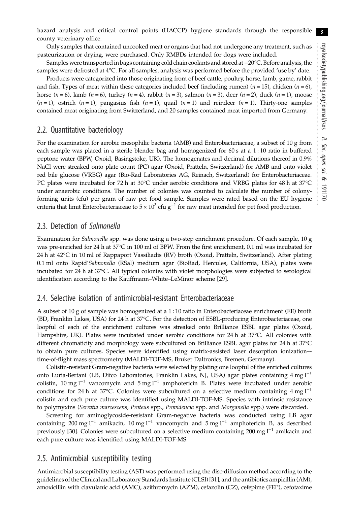Only samples that contained uncooked meat or organs that had not undergone any treatment, such as pasteurization or drying, were purchased. Only RMBDs intended for dogs were included.

Samples were transported in bags containing cold chain coolants and stored at−20°C. Before analysis, the samples were defrosted at 4°C. For all samples, analysis was performed before the provided 'use by' date.

Products were categorized into those originating from of beef cattle, poultry, horse, lamb, game, rabbit and fish. Types of meat within these categories included beef (including rumen) ( $n = 15$ ), chicken ( $n = 6$ ), horse  $(n = 6)$ , lamb  $(n = 6)$ , turkey  $(n = 4)$ , rabbit  $(n = 3)$ , salmon  $(n = 3)$ , deer  $(n = 2)$ , duck  $(n = 1)$ , moose  $(n=1)$ , ostrich  $(n=1)$ , pangasius fish  $(n=1)$ , quail  $(n=1)$  and reindeer  $(n=1)$ . Thirty-one samples contained meat originating from Switzerland, and 20 samples contained meat imported from Germany.

## 2.2. Quantitative bacteriology

For the examination for aerobic mesophilic bacteria (AMB) and Enterobacteriaceae, a subset of 10 g from each sample was placed in a sterile blender bag and homogenized for 60 s at a 1 : 10 ratio in buffered peptone water (BPW, Oxoid, Basingstoke, UK). The homogenates and decimal dilutions thereof in 0.9% NaCl were streaked onto plate count (PC) agar (Oxoid, Pratteln, Switzerland) for AMB and onto violet red bile glucose (VRBG) agar (Bio-Rad Laboratories AG, Reinach, Switzerland) for Enterobacteriaceae. PC plates were incubated for 72 h at 30°C under aerobic conditions and VRBG plates for 48 h at 37°C under anaerobic conditions. The number of colonies was counted to calculate the number of colonyforming units (cfu) per gram of raw pet food sample. Samples were rated based on the EU hygiene criteria that limit Enterobacteriaceae to  $5 \times 10^3$  cfu g<sup>-1</sup> for raw meat intended for pet food production.

## 2.3. Detection of Salmonella

Examination for Salmonella spp. was done using a two-step enrichment procedure. Of each sample, 10 g was pre-enriched for 24 h at 37°C in 100 ml of BPW. From the first enrichment, 0.1 ml was incubated for 24 h at 42°C in 10 ml of Rappaport Vassiliadis (RV) broth (Oxoid, Pratteln, Switzerland). After plating 0.1 ml onto Rapid'Salmonella (RSal) medium agar (BioRad, Hercules, California, USA), plates were incubated for 24 h at 37°C. All typical colonies with violet morphologies were subjected to serological identification according to the Kauffmann–White–LeMinor scheme [29].

## 2.4. Selective isolation of antimicrobial-resistant Enterobacteriaceae

A subset of 10 g of sample was homogenized at a 1 : 10 ratio in Enterobacteriaceae enrichment (EE) broth (BD, Franklin Lakes, USA) for 24 h at 37°C. For the detection of ESBL-producing Enterobacteriaceae, one loopful of each of the enrichment cultures was streaked onto Brilliance ESBL agar plates (Oxoid, Hampshire, UK). Plates were incubated under aerobic conditions for 24 h at 37°C. All colonies with different chromaticity and morphology were subcultured on Brilliance ESBL agar plates for 24 h at 37°C to obtain pure cultures. Species were identified using matrix-assisted laser desorption ionization– time-of-flight mass spectrometry (MALDI-TOF-MS, Bruker Daltronics, Bremen, Germany).

Colistin-resistant Gram-negative bacteria were selected by plating one loopful of the enriched cultures onto Luria-Bertani (LB, Difco Laboratories, Franklin Lakes, NJ, USA) agar plates containing 4 mg l<sup>-1</sup> colistin, 10 mg l<sup>-1</sup> vancomycin and 5 mg l<sup>-1</sup> amphotericin B. Plates were incubated under aerobic conditions for 24 h at 37°C. Colonies were subcultured on a selective medium containing 4 mg  $l^{-1}$ colistin and each pure culture was identified using MALDI-TOF-MS. Species with intrinsic resistance to polymyxins (Serratia marcescens, Proteus spp., Providencia spp. and Morganella spp.) were discarded.

Screening for aminoglycoside-resistant Gram-negative bacteria was conducted using LB agar containing 200 mg l<sup>-1</sup> amikacin, 10 mg l<sup>-1</sup> vancomycin and 5 mg l<sup>-1</sup> amphotericin B, as described previously [30]. Colonies were subcultured on a selective medium containing 200 mg l<sup>−1</sup> amikacin and each pure culture was identified using MALDI-TOF-MS.

## 2.5. Antimicrobial susceptibility testing

Antimicrobial susceptibility testing (AST) was performed using the disc-diffusion method according to the guidelines of the Clinical and Laboratory Standards Institute (CLSI) [31], and the antibiotics ampicillin (AM), amoxicillin with clavulanic acid (AMC), azithromycin (AZM), cefazolin (CZ), cefepime (FEP), cefotaxime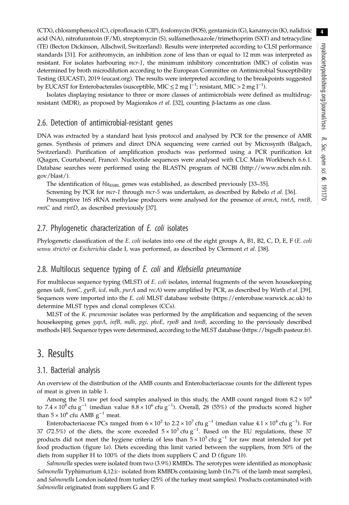(CTX), chloramphenicol (C), ciprofloxacin (CIP), fosfomycin (FOS), gentamicin (G), kanamycin (K), nalidixic acid (NA), nitrofurantoin (F/M), streptomycin (S), sulfamethoxazole/trimethoprim (SXT) and tetracycline (TE) (Becton Dickinson, Allschwil, Switzerland). Results were interpreted according to CLSI performance standards [31]. For azithromycin, an inhibition zone of less than or equal to 12 mm was interpreted as resistant. For isolates harbouring mcr-1, the minimum inhibitory concentration (MIC) of colistin was determined by broth microdilution according to the European Committee on Antimicrobial Susceptibility Testing (EUCAST), 2019 (eucast.org). The results were interpreted according to the breakpoints suggested by EUCAST for Enterobacterales (susceptible, MIC  $\leq$  2 mg l<sup>-1</sup>; resistant, MIC > 2 mg l<sup>-1</sup>).

Isolates displaying resistance to three or more classes of antimicrobials were defined as multidrugresistant (MDR), as proposed by Magiorakos *et al.* [32], counting β-lactams as one class.

#### 2.6. Detection of antimicrobial-resistant genes

DNA was extracted by a standard heat lysis protocol and analysed by PCR for the presence of AMR genes. Synthesis of primers and direct DNA sequencing were carried out by Microsynth (Balgach, Switzerland). Purification of amplification products was performed using a PCR purification kit (Qiagen, Courtaboeuf, France). Nucleotide sequences were analysed with CLC Main Workbench 6.6.1. Database searches were performed using the BLASTN program of NCBI (http://www.ncbi.nlm.nih. gov/blast/).

The identification of  $bla_{ESBL}$  genes was established, as described previously [33–35].

Screening by PCR for mcr-1 through mcr-5 was undertaken, as described by Rebelo et al. [36].

Presumptive 16S rRNA methylase producers were analysed for the presence of  $armA$ ,  $rmA$ ,  $rmB$ , rmtC and rmtD, as described previously [37].

#### 2.7. Phylogenetic characterization of E. coli isolates

Phylogenetic classification of the E. coli isolates into one of the eight groups A, B1, B2, C, D, E, F (E. coli sensu stricto) or Escherichia clade I, was performed, as described by Clermont et al. [38].

#### 2.8. Multilocus sequence typing of E. coli and Klebsiella pneumoniae

For multilocus sequence typing (MLST) of E. coli isolates, internal fragments of the seven housekeeping genes (adk, fumC, gyrB, icd, mdh, purA and recA) were amplified by PCR, as described by Wirth et al. [39]. Sequences were imported into the E. coli MLST database website (https://enterobase.warwick.ac.uk) to determine MLST types and clonal complexes (CCs).

MLST of the K. pneumoniae isolates was performed by the amplification and sequencing of the seven housekeeping genes gapA, infB, mdh, pgi, phoE, rpoB and tonB, according to the previously described methods [40]. Sequence types were determined, according to the MLST database (https://bigsdb.pasteur.fr).

## 3. Results

#### 3.1. Bacterial analysis

An overview of the distribution of the AMB counts and Enterobacteriaceae counts for the different types of meat is given in table 1.

Among the 51 raw pet food samples analysed in this study, the AMB count ranged from  $8.2 \times 10^4$ to 7.4 × 10<sup>8</sup> cfu g<sup>-1</sup> (median value  $8.8 \times 10^6$  cfu g<sup>-1</sup>). Overall, 28 (55%) of the products scored higher than  $5 \times 10^6$  cfu AMB g<sup>-1</sup> meat.

Enterobacteriaceae PCs ranged from 6 × 10<sup>2</sup> to 2.2 × 10<sup>7</sup> cfu g<sup>-1</sup> (median value 4.1 × 10<sup>4</sup> cfu g<sup>-1</sup>). For 37 (72.5%) of the diets, the score exceeded  $5 \times 10^3$  cfu g<sup>-1</sup>. Based on the EU regulations, these 37 products did not meet the hygiene criteria of less than  $5 \times 10^3$  cfu g<sup>-1</sup> for raw meat intended for pet food production (figure 1a). Diets exceeding this limit varied between the suppliers, from 50% of the diets from supplier H to 100% of the diets from suppliers C and D (figure 1b).

Salmonella species were isolated from two (3.9%) RMBDs. The serotypes were identified as monophasic Salmonella Typhimurium 4,12:i:- isolated from RMBDs containing lamb (16.7% of the lamb meat samples), and Salmonella London isolated from turkey (25% of the turkey meat samples). Products contaminated with Salmonella originated from suppliers G and F.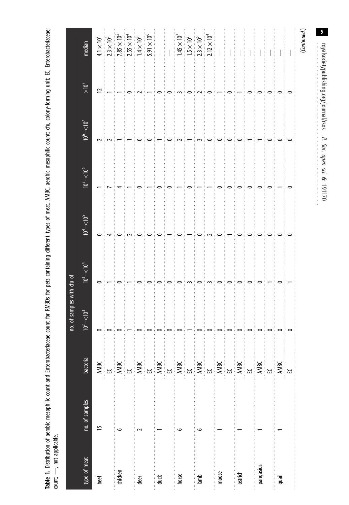Table 1. Distribution of aerobic mesophilic count and Enterobacteriaceae count for RMBOs for pets containing different types of meat. AMBC, aerobic mesophilic count; cfu, colony-forming unit; EC, Enterobacteriaceae; Table 1. Distribution of aerobic mesophilic count and Enterobacteriaceae count for RMBDs for pets containing different types of meat. AMBC, aerobic mesophilic count; cfu, colony-forming unit; EC, Enterobacteriaceae; count; --, not applicable.  $count$ ;  $-\rightarrow$ , not applicable.

|                |                |          | of samples with cfu of<br>ρ.                                                                                                                                                                                                                                                                                                                                                                                                                                                                                  |                                                                                                                                                                                                                                                                                                                     |               |                            |                                   |                                         |                                                                           |
|----------------|----------------|----------|---------------------------------------------------------------------------------------------------------------------------------------------------------------------------------------------------------------------------------------------------------------------------------------------------------------------------------------------------------------------------------------------------------------------------------------------------------------------------------------------------------------|---------------------------------------------------------------------------------------------------------------------------------------------------------------------------------------------------------------------------------------------------------------------------------------------------------------------|---------------|----------------------------|-----------------------------------|-----------------------------------------|---------------------------------------------------------------------------|
| type of meat   | no. of samples | bacteria | $\leq$<br>$\overline{P}$                                                                                                                                                                                                                                                                                                                                                                                                                                                                                      | $10^3 - 510^4$                                                                                                                                                                                                                                                                                                      | $10^4 - 10^5$ | $10^5 - 510^6$             | $\frac{10^6}{10^7}$ - $\leq 10^7$ | $>10^7$                                 | median                                                                    |
| beef           | 51             |          |                                                                                                                                                                                                                                                                                                                                                                                                                                                                                                               | $\circ$                                                                                                                                                                                                                                                                                                             | $\circ$       | $\overline{\phantom{0}}$   | 2                                 | $\overline{C}$                          | $4.1\times10^7$                                                           |
|                |                |          |                                                                                                                                                                                                                                                                                                                                                                                                                                                                                                               |                                                                                                                                                                                                                                                                                                                     |               |                            | $\sim$                            | $\vert - \vert - \vert$ o               | $2.3 \times 10^{5}$                                                       |
| chicken        | $\circ$        |          |                                                                                                                                                                                                                                                                                                                                                                                                                                                                                                               | $\circ$                                                                                                                                                                                                                                                                                                             | $\circ$       |                            |                                   |                                         | $7.85\times10^5$                                                          |
|                |                |          |                                                                                                                                                                                                                                                                                                                                                                                                                                                                                                               |                                                                                                                                                                                                                                                                                                                     |               |                            |                                   |                                         | $2.55 \times 10^4$<br>$1.4 \times 10^8$                                   |
| ් ළ<br>ප       |                |          |                                                                                                                                                                                                                                                                                                                                                                                                                                                                                                               | ြ                                                                                                                                                                                                                                                                                                                   | $\circ$       |                            | $\circ$                           | $\frac{1}{2}$                           |                                                                           |
|                |                |          |                                                                                                                                                                                                                                                                                                                                                                                                                                                                                                               | $\circ$                                                                                                                                                                                                                                                                                                             | $\circ$       |                            |                                   | $\vert - \vert \circ$                   | $5.91\times10^6$                                                          |
| ਂ<br>ਹਵ        |                |          |                                                                                                                                                                                                                                                                                                                                                                                                                                                                                                               | းဓ                                                                                                                                                                                                                                                                                                                  | ం             | $\circ$                    |                                   |                                         | $\mathbb{N}$                                                              |
|                |                |          |                                                                                                                                                                                                                                                                                                                                                                                                                                                                                                               | $\circ$                                                                                                                                                                                                                                                                                                             |               | 0                          | $\circ$                           | $\circ$                                 |                                                                           |
| horse<br>horse | $\circ$        |          |                                                                                                                                                                                                                                                                                                                                                                                                                                                                                                               | ္ဝ                                                                                                                                                                                                                                                                                                                  | ံဓ            |                            | $\sim$                            | $\frac{1}{2}$                           | $\frac{1}{1.45 \times 10^7}$<br>$\frac{1.5 \times 10^3}{2.3 \times 10^6}$ |
|                |                |          |                                                                                                                                                                                                                                                                                                                                                                                                                                                                                                               | ് സ                                                                                                                                                                                                                                                                                                                 |               | $\circ$                    | $\frac{1}{2}$ – $\frac{1}{2}$ m   | $\overline{\phantom{a}}$                |                                                                           |
| $\frac{1}{2}$  | $\circ$        |          |                                                                                                                                                                                                                                                                                                                                                                                                                                                                                                               | ∶⇔∶ന                                                                                                                                                                                                                                                                                                                | $\circ$       |                            |                                   | $\frac{1}{2}$                           |                                                                           |
|                |                |          |                                                                                                                                                                                                                                                                                                                                                                                                                                                                                                               |                                                                                                                                                                                                                                                                                                                     | ് പ           |                            | $\circ$                           | ြ                                       |                                                                           |
| moose          |                |          |                                                                                                                                                                                                                                                                                                                                                                                                                                                                                                               |                                                                                                                                                                                                                                                                                                                     | $\circ$       | $\circ$                    | $\circ$                           | $ - $ $\circ$                           | $\ \hspace{1pt}\ $                                                        |
|                |                |          |                                                                                                                                                                                                                                                                                                                                                                                                                                                                                                               |                                                                                                                                                                                                                                                                                                                     |               | $\circ$                    | $\circ$                           |                                         |                                                                           |
| ostrich        |                |          | $\circ \, \circ \, \, \circ \, \, \vert \, \circ \, \vert \, \circ \, \vert \, \circ \, \vert \, \circ \, \vert \, \circ \, \vert \, \circ \, \vert \, \circ \, \vert \, \circ \, \vert \, \circ \, \vert \, \circ \, \vert \, \circ \, \vert \, \circ \, \vert \, \circ \, \vert \, \circ \, \vert \, \circ \, \vert \, \circ \, \vert \, \circ \, \vert \, \circ \, \vert \, \circ \, \vert \, \circ \, \vert \, \circ \, \vert \, \circ \, \vert \, \circ \, \vert \, \circ \, \vert \, \circ \, \vert \,$ | $\circ \circ \circ \circ \circ$                                                                                                                                                                                                                                                                                     | ┊┯┊ѻ┊ѻ        | စ                          | $\circ$                           | $\vert - \vert \circ$                   | $\pm 1$                                                                   |
|                |                |          |                                                                                                                                                                                                                                                                                                                                                                                                                                                                                                               |                                                                                                                                                                                                                                                                                                                     |               | $\overline{\phantom{a}}$   | $\vert - \vert -$                 |                                         | i<br>Personali                                                            |
| pangasius      |                |          |                                                                                                                                                                                                                                                                                                                                                                                                                                                                                                               | ုံး                                                                                                                                                                                                                                                                                                                 | ਂ⇔            | $\circ$                    |                                   | $\overline{\phantom{a}}$                | $\mathbf{I}^{\dagger}_{\pm}$ I                                            |
|                |                |          |                                                                                                                                                                                                                                                                                                                                                                                                                                                                                                               | $\frac{1}{2}$ $\frac{1}{2}$ $\frac{1}{2}$ $\frac{1}{2}$ $\frac{1}{2}$ $\frac{1}{2}$ $\frac{1}{2}$ $\frac{1}{2}$ $\frac{1}{2}$ $\frac{1}{2}$ $\frac{1}{2}$ $\frac{1}{2}$ $\frac{1}{2}$ $\frac{1}{2}$ $\frac{1}{2}$ $\frac{1}{2}$ $\frac{1}{2}$ $\frac{1}{2}$ $\frac{1}{2}$ $\frac{1}{2}$ $\frac{1}{2}$ $\frac{1}{2}$ | ಂ             | စ                          | ြ                                 | ြ                                       | ŧ<br>$\overline{\phantom{a}}$                                             |
| quail          |                |          |                                                                                                                                                                                                                                                                                                                                                                                                                                                                                                               |                                                                                                                                                                                                                                                                                                                     |               |                            | $\circ$                           | $\overline{\phantom{a}}$                |                                                                           |
|                |                |          |                                                                                                                                                                                                                                                                                                                                                                                                                                                                                                               | ‡ —                                                                                                                                                                                                                                                                                                                 | ္ခံ           | ం                          | $\circ$                           | ြ                                       |                                                                           |
|                |                |          |                                                                                                                                                                                                                                                                                                                                                                                                                                                                                                               |                                                                                                                                                                                                                                                                                                                     |               |                            |                                   |                                         | (Continued.                                                               |
|                |                |          |                                                                                                                                                                                                                                                                                                                                                                                                                                                                                                               |                                                                                                                                                                                                                                                                                                                     |               | Soc. open sci.<br>6:191170 | R.                                | royalsocietypublishing.org/journal/rsos | 5                                                                         |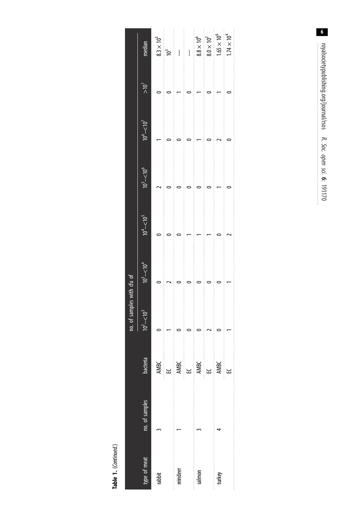Table 1. (Continued.) Table 1. (Continued.)

|              |                                                                                                   |                   | no. of samples with cfu of<br>J |               |                   |               |               |                                            |
|--------------|---------------------------------------------------------------------------------------------------|-------------------|---------------------------------|---------------|-------------------|---------------|---------------|--------------------------------------------|
| type of meat | no. of samples                                                                                    | bacteria          | °,                              | $10^3 - 10^4$ | $10^{4} - 10^{5}$ | $10^5 - 10^6$ | $10^6 - 10^7$ | median                                     |
| rabbit       |                                                                                                   | AMBC<br>EC        |                                 |               |                   |               |               | $\frac{8.3 \times 10^5}{10^3}$             |
|              |                                                                                                   |                   |                                 |               |                   |               |               |                                            |
| reindeer     |                                                                                                   | <b>AMBC</b><br>EC |                                 |               |                   |               |               | $\overline{\phantom{a}}$                   |
|              |                                                                                                   |                   |                                 |               |                   |               |               | .<br>$\begin{array}{c} \hline \end{array}$ |
|              | $\mathbf{Salmon}$ , and the contract of the contract of $\mathbf{Calmon}$ , and $\mathbf{Calmon}$ | AMBC<br>EC        |                                 |               |                   |               |               | $8.8\times10^6$                            |
|              |                                                                                                   |                   |                                 |               |                   |               |               | $8.0\times10^2$                            |
| turkey       |                                                                                                   | <b>AMBC</b>       |                                 |               |                   |               |               | $1.65 \times 10^6$                         |
|              |                                                                                                   | ್ಷ<br>ಜ           |                                 |               |                   |               |               | $1.74 \times 10^{4}$                       |
|              |                                                                                                   |                   |                                 |               |                   |               |               |                                            |

 $6\overline{6}$ royalsocietypublishing.org/journal/rsos R. Soc. open sci. 6: 191170 royalsocietypublishing.org/journal/rsos R. Soc. open sci. <u>م</u>.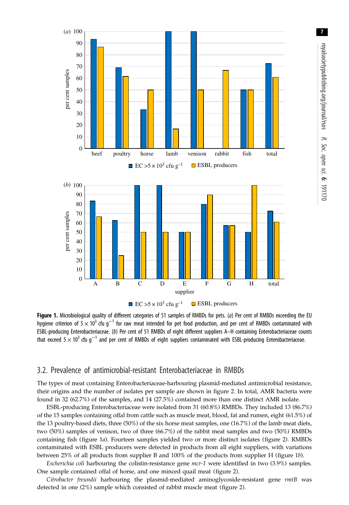

Figure 1. Microbiological quality of different categories of 51 samples of RMBDs for pets. (a) Per cent of RMBDs exceeding the EU hygiene criterion of 5  $\times$  10<sup>3</sup> cfu g<sup>-1</sup> for raw meat intended for pet food production, and per cent of RMBDs contaminated with ESBL-producing Enterobacteriaceae. (b) Per cent of 51 RMBDs of eight different suppliers A–H containing Enterobacteriaceae counts that exceed  $5 \times 10^3$  cfu g<sup>-1</sup> and per cent of RMBDs of eight suppliers contaminated with ESBL-producing Enterobacteriaceae.

## 3.2. Prevalence of antimicrobial-resistant Enterobacteriaceae in RMBDs

The types of meat containing Enterobacteriaceae-harbouring plasmid-mediated antimicrobial resistance, their origins and the number of isolates per sample are shown in figure 2. In total, AMR bacteria were found in 32 (62.7%) of the samples, and 14 (27.5%) contained more than one distinct AMR isolate.

ESBL-producing Enterobacteriaceae were isolated from 31 (60.8%) RMBDs. They included 13 (86.7%) of the 15 samples containing offal from cattle such as muscle meat, blood, fat and rumen, eight (61.5%) of the 13 poultry-based diets, three (50%) of the six horse meat samples, one (16.7%) of the lamb meat diets, two (50%) samples of venison, two of three (66.7%) of the rabbit meat samples and two (50%) RMBDs containing fish (figure 1a). Fourteen samples yielded two or more distinct isolates (figure 2). RMBDs contaminated with ESBL producers were detected in products from all eight suppliers, with variations between 25% of all products from supplier B and 100% of the products from supplier H (figure 1b).

Escherichia coli harbouring the colistin-resistance gene  $mcr-1$  were identified in two  $(3.9\%)$  samples. One sample contained offal of horse, and one minced quail meat (figure 2).

Citrobacter freundii harbouring the plasmid-mediated aminoglycoside-resistant gene rmtB was detected in one (2%) sample which consisted of rabbit muscle meat (figure 2).

7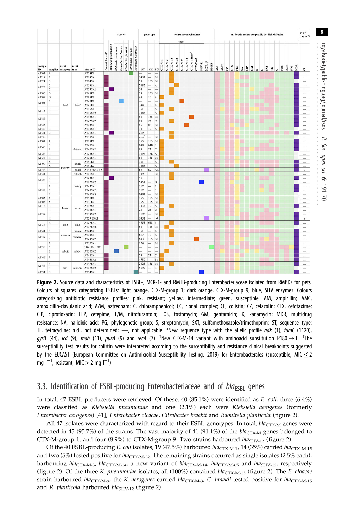

royalsocietypublishing.org/journal/rsos

R. Soc. open sci. 6:191170

Figure 2. Source data and characteristics of ESBL-, MCR-1- and RMTB-producing Enterobacteriaceae isolated from RMBDs for pets. Colours of squares categorizing ESBLs: light orange, CTX-M-group 1; dark orange, CTX-M-group 9; blue, SHV enzymes. Colours categorizing antibiotic resistance profiles: pink, resistant; yellow, intermediate; green, susceptible. AM, ampicillin; AMC, amoxicillin-clavulanic acid; AZM, aztreonam; C, chloramphenicol; CC, clonal complex; CL, colistin; CZ, cefazolin; CTX, cefotaxime; CIP, ciprofloxacin; FEP, cefepime; F/M, nitrofurantoin; FOS, fosfomycin; GM, gentamicin; K, kanamycin; MDR, multidrug resistance; NA, nalidixic acid; PG, phylogenetic group; S, streptomycin; SXT, sulfamethoxazole/trimethoprim; ST, sequence type; TE, tetracycline; n.d., not determined; -, not applicable. \*New sequence type with the allelic profile adk (1), fumC (1120), gyrB (44), icd (9), mdh (11), purA (9) and recA (7). <sup>†</sup>New CTX-M-14 variant with aminoacid substitution P180  $\rightarrow$  L. <sup>‡</sup>The susceptibility test results for colistin were interpreted according to the susceptibility and resistance clinical breakpoints suggested by the EUCAST (European Committee on Antimicrobial Susceptibility Testing, 2019) for Enterobacterales (susceptible, MIC  $\leq$  2 mg l<sup>-1</sup>; resistant, MIC > 2 mg l<sup>-1</sup>).

## 3.3. Identification of ESBL-producing Enterobacteriaceae and of  $bla_{FSRI}$  genes

In total, 47 ESBL producers were retrieved. Of these, 40 (85.1%) were identified as E. coli, three (6.4%) were classified as Klebsiella pneumoniae and one (2.1%) each were Klebsiella aerogenes (formerly Enterobacter aerogenes) [41], Enterobacter cloacae, Citrobacter braakii and Raoultella planticola (figure 2).

All 47 isolates were characterized with regard to their ESBL genotypes. In total,  $bla_{\text{CTX-M}}$  genes were detected in 45 (95.7%) of the strains. The vast majority of 41 (91.1%) of the  $bla_{\text{CTX-}M}$  genes belonged to CTX-M-group 1, and four  $(8.9\%)$  to CTX-M-group 9. Two strains harboured  $bla<sub>SHV-12</sub>$  (figure 2).

Of the 40 ESBL-producing E. coli isolates, 19 (47.5%) harboured  $bla_{CTX-M-1}$ , 14 (35%) carried bla<sub>CTX-M-15</sub> and two (5%) tested positive for  $bla_{\text{CTX-}M-32}$ . The remaining strains occurred as single isolates (2.5% each), harbouring  $bla_{\text{CTX-M-3}}$ ,  $bla_{\text{CTX-M-14}}$ , a new variant of  $bla_{\text{CTX-M-14}}$ ,  $bla_{\text{CTX-M-65}}$  and  $bla_{\text{SHV-12}}$ , respectively (figure 2). Of the three K. pneumoniae isolates, all  $(100\%)$  contained  $bla_{CTX-M-15}$  (figure 2). The E. cloacae strain harboured bla<sub>CTX-M-9</sub>, the K. aerogenes carried bla<sub>CTX-M-3</sub>, C. braakii tested positive for bla<sub>CTX-M-15</sub> and R. planticola harboured bla<sub>SHV-12</sub> (figure 2).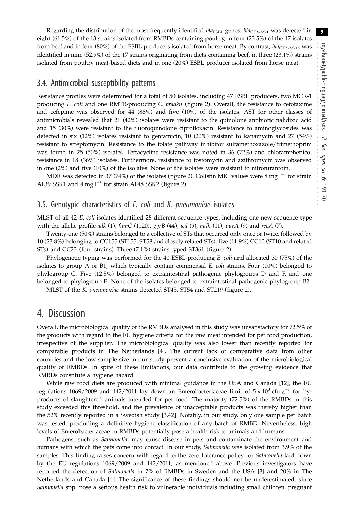Regarding the distribution of the most frequently identified  $bla_{ESBL}$  genes,  $bla_{CTX-M-1}$  was detected in eight (61.5%) of the 13 strains isolated from RMBDs containing poultry, in four (23.5%) of the 17 isolates from beef and in four (80%) of the ESBL producers isolated from horse meat. By contrast, bla<sub>CTX-M-15</sub> was identified in nine (52.9%) of the 17 strains originating from diets containing beef, in three (23.1%) strains isolated from poultry meat-based diets and in one (20%) ESBL producer isolated from horse meat.

### 3.4. Antimicrobial susceptibility patterns

Resistance profiles were determined for a total of 50 isolates, including 47 ESBL producers, two MCR-1 producing E. coli and one RMTB-producing C. braakii (figure 2). Overall, the resistance to cefotaxime and cefepime was observed for 44 (88%) and five (10%) of the isolates. AST for other classes of antimicrobials revealed that 21 (42%) isolates were resistant to the quinolone antibiotic nalidixic acid and 15 (30%) were resistant to the fluoroquinolone ciprofloxacin. Resistance to aminoglycosides was detected in six (12%) isolates resistant to gentamicin, 10 (20%) resistant to kanamycin and 27 (54%) resistant to streptomycin. Resistance to the folate pathway inhibitor sulfamethoxazole/trimethoprim was found in 25 (50%) isolates. Tetracycline resistance was noted in 36 (72%) and chloramphenicol resistance in 18 (36%) isolates. Furthermore, resistance to fosfomycin and azithromycin was observed in one (2%) and five (10%) of the isolates. None of the isolates were resistant to nitrofurantoin.

MDR was detected in 37 (74%) of the isolates (figure 2). Colistin MIC values were 8 mg l<sup>-1</sup> for strain AT39 SSK1 and 4 mg  $l^{-1}$  for strain AT48 SSK2 (figure 2).

#### 3.5. Genotypic characteristics of E. coli and K. pneumoniae isolates

MLST of all 42 E. coli isolates identified 28 different sequence types, including one new sequence type with the allelic profile adk (1), fumC (1120), gyrB (44), icd (9), mdh (11), purA (9) and recA (7).

Twenty-one (50%) strains belonged to a collective of STs that occurred only once or twice, followed by 10 (23.8%) belonging to CC155 (ST155, ST58 and closely related STs), five (11.9%) CC10 (ST10 and related STs) and CC23 (four strains). Three (7.1%) strains typed ST361 (figure 2).

Phylogenetic typing was performed for the 40 ESBL-producing E. coli and allocated 30 (75%) of the isolates to group A or B1, which typically contain commensal  $E$ . *coli* strains. Four (10%) belonged to phylogroup C. Five (12.5%) belonged to extraintestinal pathogenic phylogroups D and F, and one belonged to phylogroup E. None of the isolates belonged to extraintestinal pathogenic phylogroup B2.

MLST of the K. pneumoniae strains detected ST45, ST54 and ST219 (figure 2).

## 4. Discussion

Overall, the microbiological quality of the RMBDs analysed in this study was unsatisfactory for 72.5% of the products with regard to the EU hygiene criteria for the raw meat intended for pet food production, irrespective of the supplier. The microbiological quality was also lower than recently reported for comparable products in The Netherlands [4]. The current lack of comparative data from other countries and the low sample size in our study prevent a conclusive evaluation of the microbiological quality of RMBDs. In spite of these limitations, our data contribute to the growing evidence that RMBDs constitute a hygiene hazard.

While raw food diets are produced with minimal guidance in the USA and Canada [12], the EU regulations 1069/2009 and 142/2011 lay down an Enterobacteriaceae limit of  $5 \times 10^3$  cfu g<sup>-1</sup> for byproducts of slaughtered animals intended for pet food. The majority (72.5%) of the RMBDs in this study exceeded this threshold, and the prevalence of unacceptable products was thereby higher than the 52% recently reported in a Swedish study [3,42]. Notably, in our study, only one sample per batch was tested, precluding a definitive hygiene classification of any batch of RMBD. Nevertheless, high levels of Enterobacteriaceae in RMBDs potentially pose a health risk to animals and humans.

Pathogens, such as *Salmonella*, may cause disease in pets and contaminate the environment and humans with which the pets come into contact. In our study, Salmonella was isolated from 3.9% of the samples. This finding raises concern with regard to the zero tolerance policy for *Salmonella* laid down by the EU regulations 1069/2009 and 142/2011, as mentioned above. Previous investigators have reported the detection of Salmonella in 7% of RMBDs in Sweden and the USA [3] and 20% in The Netherlands and Canada [4]. The significance of these findings should not be underestimated, since Salmonella spp. pose a serious health risk to vulnerable individuals including small children, pregnant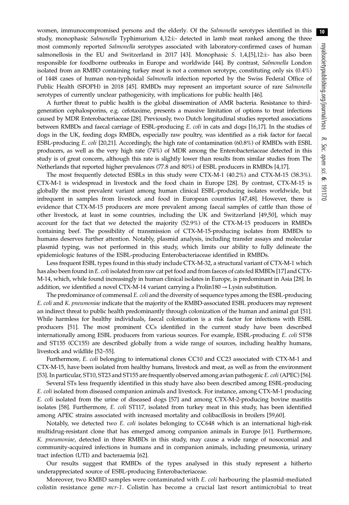women, immunocompromised persons and the elderly. Of the *Salmonella* serotypes identified in this study, monophasic Salmonella Typhimurium 4,12:i:- detected in lamb meat ranked among the three most commonly reported Salmonella serotypes associated with laboratory-confirmed cases of human salmonellosis in the EU and Switzerland in 2017 [43]. Monophasic S. 1,4,[5],12:i:- has also been responsible for foodborne outbreaks in Europe and worldwide [44]. By contrast, Salmonella London isolated from an RMBD containing turkey meat is not a common serotype, constituting only six (0.4%) of 1448 cases of human non-typhoidal Salmonella infection reported by the Swiss Federal Office of Public Health (SFOPH) in 2018 [45]. RMBDs may represent an important source of rare Salmonella serotypes of currently unclear pathogenicity, with implications for public health [46].

A further threat to public health is the global dissemination of AMR bacteria. Resistance to thirdgeneration cephalosporins, e.g. cefotaxime, presents a massive limitation of options to treat infections caused by MDR Enterobacteriaceae [28]. Previously, two Dutch longitudinal studies reported associations between RMBDs and faecal carriage of ESBL-producing E. coli in cats and dogs [16,17]. In the studies of dogs in the UK, feeding dogs RMBDs, especially raw poultry, was identified as a risk factor for faecal ESBL-producing E. coli [20,21]. Accordingly, the high rate of contamination (60.8%) of RMBDs with ESBL producers, as well as the very high rate (74%) of MDR among the Enterobacteriaceae detected in this study is of great concern, although this rate is slightly lower than results from similar studies from The Netherlands that reported higher prevalences (77.8 and 80%) of ESBL producers in RMBDs [4,17].

The most frequently detected ESBLs in this study were CTX-M-1 (40.2%) and CTX-M-15 (38.3%). CTX-M-1 is widespread in livestock and the food chain in Europe [28]. By contrast, CTX-M-15 is globally the most prevalent variant among human clinical ESBL-producing isolates worldwide, but infrequent in samples from livestock and food in European countries [47,48]. However, there is evidence that CTX-M-15 producers are more prevalent among faecal samples of cattle than those of other livestock, at least in some countries, including the UK and Switzerland [49,50], which may account for the fact that we detected the majority (52.9%) of the CTX-M-15 producers in RMBDs containing beef. The possibility of transmission of CTX-M-15-producing isolates from RMBDs to humans deserves further attention. Notably, plasmid analysis, including transfer assays and molecular plasmid typing, was not performed in this study, which limits our ability to fully delineate the epidemiologic features of the ESBL-producing Enterobacteriaceae identified in RMBDs.

Less frequent ESBL types found in this study include CTX-M-32, a structural variant of CTX-M-1 which has also been found in E. coli isolated from raw cat pet food and from faeces of cats fed RMBDs [17] and CTX-M-14, which, while found increasingly in human clinical isolates in Europe, is predominant in Asia [28]. In addition, we identified a novel CTX-M-14 variant carrying a Prolin180  $\rightarrow$  Lysin substitution.

The predominance of commensal E. coli and the diversity of sequence types among the ESBL-producing E. coli and K. pneumoniae indicate that the majority of the RMBD-associated ESBL producers may represent an indirect threat to public health predominantly through colonization of the human and animal gut [51]. While harmless for healthy individuals, faecal colonization is a risk factor for infections with ESBL producers [51]. The most prominent CCs identified in the current study have been described internationally among ESBL producers from various sources. For example, ESBL-producing E. coli ST58 and ST155 (CC155) are described globally from a wide range of sources, including healthy humans, livestock and wildlife [52–55].

Furthermore, E. coli belonging to international clones CC10 and CC23 associated with CTX-M-1 and CTX-M-15, have been isolated from healthy humans, livestock and meat, as well as from the environment [53]. In particular, ST10, ST23 and ST155 are frequently observed among avian pathogenic E. coli (APEC) [56].

Several STs less frequently identified in this study have also been described among ESBL-producing E. coli isolated from diseased companion animals and livestock. For instance, among CTX-M-1 producing E. coli isolated from the urine of diseased dogs [57] and among CTX-M-2-producing bovine mastitis isolates [58]. Furthermore, E. coli ST117, isolated from turkey meat in this study, has been identified among APEC strains associated with increased mortality and colibacillosis in broilers [59,60].

Notably, we detected two E. coli isolates belonging to CC648 which is an international high-risk multidrug-resistant clone that has emerged among companion animals in Europe [61]. Furthermore, K. pneumoniae, detected in three RMBDs in this study, may cause a wide range of nosocomial and community-acquired infections in humans and in companion animals, including pneumonia, urinary tract infection (UTI) and bacteraemia [62].

Our results suggest that RMBDs of the types analysed in this study represent a hitherto underappreciated source of ESBL-producing Enterobacteriaceae.

Moreover, two RMBD samples were contaminated with  $E.$  coli harbouring the plasmid-mediated colistin resistance gene mcr-1. Colistin has become a crucial last resort antimicrobial to treat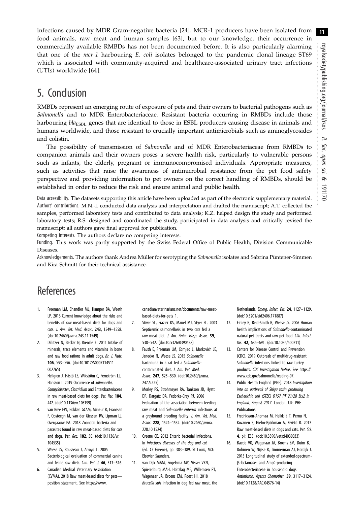infections caused by MDR Gram-negative bacteria [24]. MCR-1 producers have been isolated from food animals, raw meat and human samples [63], but to our knowledge, their occurrence in commercially available RMBDs has not been documented before. It is also particularly alarming that one of the  $mcr-1$  harbouring E. coli isolates belonged to the pandemic clonal lineage ST69 which is associated with community-acquired and healthcare-associated urinary tract infections (UTIs) worldwide [64].

# 5. Conclusion

RMBDs represent an emerging route of exposure of pets and their owners to bacterial pathogens such as Salmonella and to MDR Enterobacteriaceae. Resistant bacteria occurring in RMBDs include those harbouring bla<sub>ESBL</sub> genes that are identical to those in ESBL producers causing disease in animals and humans worldwide, and those resistant to crucially important antimicrobials such as aminoglycosides and colistin.

The possibility of transmission of Salmonella and of MDR Enterobacteriaceae from RMBDs to companion animals and their owners poses a severe health risk, particularly to vulnerable persons such as infants, the elderly, pregnant or immunocompromised individuals. Appropriate measures, such as activities that raise the awareness of antimicrobial resistance from the pet food safety perspective and providing information to pet owners on the correct handling of RMBDs, should be established in order to reduce the risk and ensure animal and public health.

Data accessibility. The datasets supporting this article have been uploaded as part of the electronic supplementary material. Authors' contributions. M.N.-I. conducted data analysis and interpretation and drafted the manuscript; A.T. collected the samples, performed laboratory tests and contributed to data analysis; K.Z. helped design the study and performed laboratory tests; R.S. designed and coordinated the study, participated in data analysis and critically revised the manuscript; all authors gave final approval for publication.

Competing interests. The authors declare no competing interests.

Funding. This work was partly supported by the Swiss Federal Office of Public Health, Division Communicable Diseases.

Acknowledgements. The authors thank Andrea Müller for serotyping the Salmonella isolates and Sabrina Püntener-Simmen and Kira Schmitt for their technical assistance.

# References

- 1. Freeman LM, Chandler ML, Hamper BA, Weeth LP. 2013 Current knowledge about the risks and benefits of raw meat-based diets for dogs and cats. J. Am. Vet. Med. Assoc. 243, 1549–1558. (doi:10.2460/javma.243.11.1549)
- 2. Dillitzer N, Becker N, Kienzle E. 2011 Intake of minerals, trace elements and vitamins in bone and raw food rations in adult dogs. Br. J. Nutr. 106, S53–S56. (doi:10.1017/S0007114511 002765)
- 3. Hellgren J, Hästö LS, Wikström C, Fernström LL, Hansson I. 2019 Occurrence of Salmonella, Campylobacter, Clostridium and Enterobacteriaceae in raw meat-based diets for dogs. Vet. Rec. 184, 442. (doi:10.1136/vr.105199)
- 4. van Bree FPJ, Bokken GCAM, Mineur R, Franssen F, Opsteegh M, van der Giessen JW, Lipman LJ, Overgaauw PA. 2018 Zoonotic bacteria and parasites found in raw meat-based diets for cats and dogs. Vet. Rec. 182, 50. (doi:10.1136/vr. 104535)
- 5. Weese JS, Rousseau J, Arroyo L. 2005 Bacteriological evaluation of commercial canine and feline raw diets. Can. Vet. J. 46, 513-516.
- 6. Canadian Medical Veterinary Association (CVMA). 2018 Raw meat-based diets for pets position statement. See https://www.

canadianveterinarians.net/documents/raw-meatbased-diets-for-pets 1.

- 7. Stiver SL, Frazier KS, Mauel MJ, Styer EL. 2003 Septicemic salmonellosis in two cats fed a raw-meat diet. J. Am. Anim. Hosp. Assoc. 39, 538–542. (doi:10.5326/0390538)
- 8. Fauth E, Freeman LM, Cornjeo L, Markovich JE, Janecko N, Weese JS. 2015 Salmonella bacteriuria in a cat fed a Salmonellacontaminated diet. J. Am. Vet. Med. Assoc. 247, 525–530. (doi:10.2460/javma. 247.5.525)
- 9. Morley PS, Strohmeyer RA, Tankson JD, Hyatt DR, Dargatz DA, Fedorka-Cray PJ. 2006 Evaluation of the association between feeding raw meat and Salmonella enterica infections at a greyhound breeding facility. J. Am. Vet. Med. Assoc. 228, 1524–1532. (doi:10.2460/javma. 228.10.1524)
- 10. Greene CE. 2012 Enteric bacterial infections. In Infectious diseases of the dog and cat (ed. CE Greene), pp. 383–389. St Louis, MO: Elsevier Saunders.
- 11. van Dijk MAM, Engelsma MY, Visser VXN, Spierenburg MAH, Holtslag ME, Willemsen PT, Wagenaar JA, Broens EM, Roest HI. 2018 Brucella suis infection in dog fed raw meat, the

Netherlands. Emerg. Infect. Dis. 24, 1127–1129. (doi:10.3201/eid2406.171887)

- 12. Finley R, Reid-Smith R, Weese JS. 2006 Human health implications of Salmonella-contaminated natural pet treats and raw pet food. Clin. Infect. Dis. 42, 686–691. (doi:10.1086/500211)
- 13. Centers for Disease Control and Prevention (CDC). 2019 Outbreak of multidrug-resistant Salmonella infections linked to raw turkey products. CDC Investigation Notice. See https:// www.cdc.gov/salmonella/reading-07.
- 14. Public Health England (PHE). 2018 Investigation into an outbreak of Shiga toxin producing Escherichia coli (STEC) O157 PT 21/28 Stx2 in England, August 2017. London, UK: PHE Publications.
- 15. Fredriksson-Ahomaa M, Heikkilä T, Pernu N, Kovanen S, Hielm-Björkman A, Kivistö R. 2017 Raw meat-based diets in dogs and cats. Vet. Sci. 4, pii: E33. (doi:10.3390/vetsci4030033)
- 16. Baede VO, Wagenaar JA, Broens EM, Duim B, Dohmen W, Nijsse R, Timmerman AJ, Hordijk J. 2015 Longitudinal study of extended-spectrumβ-lactamase- and AmpC-producing Enterobacteriaceae in household dogs. Antimicrob. Agents Chemother. 59, 3117–3124. (doi:10.1128/AAC.04576-14)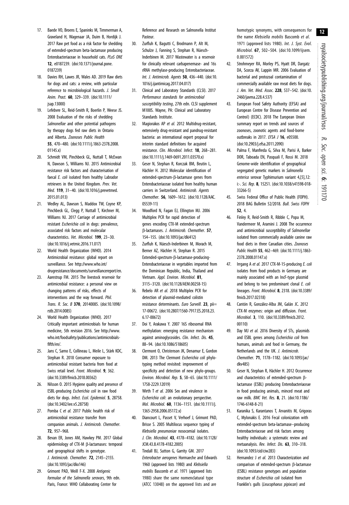- 17. Baede VO, Broens E, Spaninks M, Timmerman A, Graveland H, Wagenaar JA, Duim B, Hordijk J. 2017 Raw pet food as a risk factor for shedding of extended-spectrum beta-lactamase producing Enterobacteriaceae in household cats. PLoS ONE 12, e0187239. (doi:10.1371/journal.pone. 0187239)
- 18. Davies RH, Lawes JR, Wales AD. 2019 Raw diets for dogs and cats: a review, with particular reference to microbiological hazards. J. Small Anim. Pract. 60, 329–339. (doi:10.1111/ jsap.13000)
- 19. Lefebvre SL, Reid-Smith R, Boerlin P, Weese JS. 2008 Evaluation of the risks of shedding Salmonellae and other potential pathogens by therapy dogs fed raw diets in Ontario and Alberta. Zoonoses Public Health 55, 470–480. (doi:10.1111/j.1863-2378.2008. 01145.x)
- 20. Schmidt VM, Pinchbeck GL, Nuttall T, McEwan N, Dawson S, Williams NJ. 2015 Antimicrobial resistance risk factors and characterisation of faecal E. coli isolated from healthy Labrador retrievers in the United Kingdom. Prev. Vet. Med. 119, 31–40. (doi:10.1016/j.prevetmed. 2015.01.013)
- 21. Wedley AL, Dawson S, Maddox TW, Coyne KP, Pinchbeck GL, Clegg P, Nuttall T, Kirchner M, Williams NJ. 2017 Carriage of antimicrobial resistant Escherichia coli in dogs: prevalence, associated risk factors and molecular characteristics. Vet. Microbiol. 199, 23–30. (doi:10.1016/j.vetmic.2016.11.017)
- 22. World Health Organization (WHO). 2014 Antimicrobial resistance: global report on surveillance. See http://www.who.int/ drugresistance/documents/surveillancereport/en.
- 23. Aarestrup FM. 2015 The livestock reservoir for antimicrobial resistance: a personal view on changing patterns of risks, effects of interventions and the way forward. Phil. Trans. R. Soc. B 370, 20140085. (doi:10.1098/ rstb.2014.0085)
- 24. World Health Organization (WHO). 2017 Critically important antimicrobials for human medicine, 5th revision 2016. See http://www. who.int/foodsafety/publications/antimicrobialsfifth/en/.
- 25. Jans C, Sarno E, Collineau L, Meile L, Stärk KDC, Stephan R. 2018 Consumer exposure to antimicrobial resistant bacteria from food at Swiss retail level. Front. Microbiol. 9, 362. (doi:10.3389/fmicb.2018.00362)
- 26. Nilsson O. 2015 Hygiene quality and presence of ESBL-producing Escherichia coli in raw food diets for dogs. Infect. Ecol. Epidemiol. 5, 28758. (doi:10.3402/iee.v5.28758)
- 27. Pomba C et al. 2017 Public health risk of antimicrobial resistance transfer from companion animals. J. Antimicrob. Chemother. 72, 957–968.
- 28. Bevan ER, Jones AM, Hawkey PM. 2017 Global epidemiology of CTX-M β-lactamases: temporal and geographical shifts in genotype. J. Antimicrob. Chemother. 72, 2145–2155. (doi:10.1093/jac/dkx146)
- 29. Grimont PAD, Weill F-X. 2008 Antigenic formulae of the Salmonella serovars, 9th edn. Paris, France: WHO Collaborating Center for

Reference and Research on Salmonella Institut Pasteur.

- 30. Zurfluh K, Bagutti C, Brodmann P, Alt M, Schulze J, Fanning S, Stephan R, Nüesch-Inderbinen M. 2017 Wastewater is a reservoir for clinically relevant carbapenemase- and 16s rRNA methylase-producing Enterobacteriaceae. Int. J. Antimicrob. Agents 50, 436–440. (doi:10. 1016/j.ijantimicag.2017.04.017)
- 31. Clinical and Laboratory Standards (CLSI). 2017 Performance standards for antimicrobial susceptibility testing, 27th edn. CLSI supplement M100S. Wayne, PA: Clinical and Laboratory Standards Institute.
- 32. Magiorakos AP et al. 2012 Multidrug-resistant, extensively drug-resistant and pandrug-resistant bacteria: an international expert proposal for interim standard definitions for acquired resistance. Clin. Microbiol. Infect. 18, 268–281. (doi:10.1111/j.1469-0691.2011.03570.x)
- 33. Geser N, Stephan R, Korczak BM, Beutin L, Hächler H. 2012 Molecular identification of extended-spectrum-β-lactamase genes from Enterobacteriaceae isolated from healthy human carriers in Switzerland. Antimicrob. Agents Chemother. 56, 1609–1612. (doi:10.1128/AAC. 05539-11)
- 34. Woodford N, Fagan EJ, Ellington MJ. 2006 Multiplex PCR for rapid detection of genes encoding CTX-M extended-spectrum β-lactamases. J. Antimicrob. Chemother. 57, 154–155. (doi:10.1093/jac/dki412)
- 35. Zurfluh K, Nüesch-Inderbinen M, Morach M, Berner AZ, Hächler H, Stephan R. 2015 Extended-spectrum-β-lactamase-producing-Enterobacteriaceae in vegetables imported from the Dominican Republic, India, Thailand and Vietnam. Appl. Environ. Microbiol. 81, 3115–3120. (doi:10.1128/AEM.00258-15)
- 36. Rebelo AR et al. 2018 Multiplex PCR for detection of plasmid-mediated colistin resistance determinants. *Euro Surveill*. 23, pii= 17-00672. (doi:10.2807/1560-7917.ES.2018.23. 6.17-00672)
- 37. Doi Y, Arakawa Y. 2007 16S ribosomal RNA methylation: emerging resistance mechanism against aminoglycosides. Clin. Infect. Dis. 45, 88–94. (doi:10.1086/518605)
- 38. Clermont O, Christenson JK, Denamur E, Gordon DM. 2013 The Clermont Escherichia coli phylotyping method revisited: improvement of specificity and detection of new phylo-groups. Environ. Microbiol. Rep. 5, 58–65. (doi:10.1111/ 1758-2229.12019)
- 39. Wirth T et al. 2006 Sex and virulence in Escherichia coli: an evolutionary perspective. Mol. Microbiol. 60, 1136–1151. (doi:10.1111/j. 1365-2958.2006.05172.x)
- 40. Diancourt L, Passet V, Verhoef J, Grimont PAD, Brisse S. 2005 Multilocus sequence typing of Klebsiella pneumoniae nosocomial isolates. J. Clin. Microbiol. 43, 4178–4182. (doi:10.1128/ JCM.43.8.4178-4182.2005)
- 41. Tindall BJ, Sutton G, Garrity GM. 2017 Enterobacter aerogenes Hormaeche and Edwards 1960 (approved lists 1980) and Klebsiella mobilis Bascomb et al. 1971 (approved lists 1980) share the same nomenclatural type (ATCC 13048) on the approved lists and are

homotypic synonyms, with consequences for the name Klebsiella mobilis Bascomb et al. 1971 (approved lists 1980). Int. J. Syst. Evol. Microbiol. 67, 502–504. (doi:10.1099/ijsem. 0.001572)

- 42. Strohmeyer RA, Morley PS, Hyatt DR, Dargatz DA, Scorza AV, Lappin MR. 2006 Evaluation of bacterial and protozoal contamination of commercially available raw meat diets for dogs. J. Am. Vet. Med. Assoc. 228, 537–542. (doi:10. 2460/javma.228.4.537)
- 43. European Food Safety Authority (EFSA) and European Centre for Disease Prevention and Control) (ECDC). 2018 The European Union summary report on trends and sources of zoonoses, zoonotic agents and food-borne outbreaks in 2017. EFSA J **16**, e05500. (doi:10.2903/j.efsa.2011.2090)
- 44. Palma F, Manfreda G, Silva M, Parisi A, Barker DOR, Taboada EN, Pasquali F, Rossi M. 2018 Genome-wide identification of geographical segregated genetic markers in Salmonella enterica serovar Typhimurium variant 4,[5],12: i:-. Sci. Rep. 8, 15251. (doi:10.1038/s41598-018- 33266-5)
- 45. Swiss Federal Office of Public Health (FOPH). 2018 BAG Bulletin 52/2018. Bull. Swiss FOPH 52, 4.
- 46. Finley R, Reid-Smith R, Ribble C, Popa M, Vandermeer M, Aramini J. 2008 The occurrence and antimicrobial susceptibility of Salmonellae isolated from commercially available canine raw food diets in three Canadian cities. Zoonoses Public Health 55, 462–469. (doi:10.1111/j.1863- 2378.2008.01147.x)
- 47. Irrgang A et al. 2017 CTX-M-15-producing E. coli isolates from food products in Germany are mainly associated with an IncF-type plasmid and belong to two predominant clonal E. coli lineages. Front. Microbiol. 8, 2318. (doi:10.3389/ fmicb.2017.02318)
- 48. Cantón R, González-Alba JM, Galán JC. 2012 CTX-M enzymes: origin and diffusion. Front. Microbiol. 3, 110. (doi:10.3389/fmicb.2012. 00110)
- 49. Day MJ et al. 2016 Diversity of STs, plasmids and ESBL genes among Escherichia coli from humans, animals and food in Germany, the Netherlands and the UK. J. Antimicrob. Chemother. 71, 1178–1182. (doi:10.1093/jac/ dkv485)
- 50. Geser N, Stephan R, Hächler H. 2012 Occurrence and characteristics of extended-spectrum βlactamase (ESBL) producing Enterobacteriaceae in food producing animals, minced meat and raw milk. BMC Vet. Res. 8, 21. (doi:10.1186/ 1746-6148-8-21)
- 51. Karanika S, Karantanos T, Arvanitis M, Grigoras C, Mylonakis E. 2016 Fecal colonization with extended-spectrum beta-lactamase–producing Enterobacteriaceae and risk factors among healthy individuals: a systematic review and metaanalysis. Rev. Infect. Dis. 63, 310-318. (doi:10.1093/cid/ciw283)
- 52. Hernandez J et al. 2013 Characterization and comparison of extended-spectrum β-lactamase (ESBL) resistance genotypes and population structure of Escherichia coli isolated from Franklin's gulls (Leucophaeus pipixcan) and